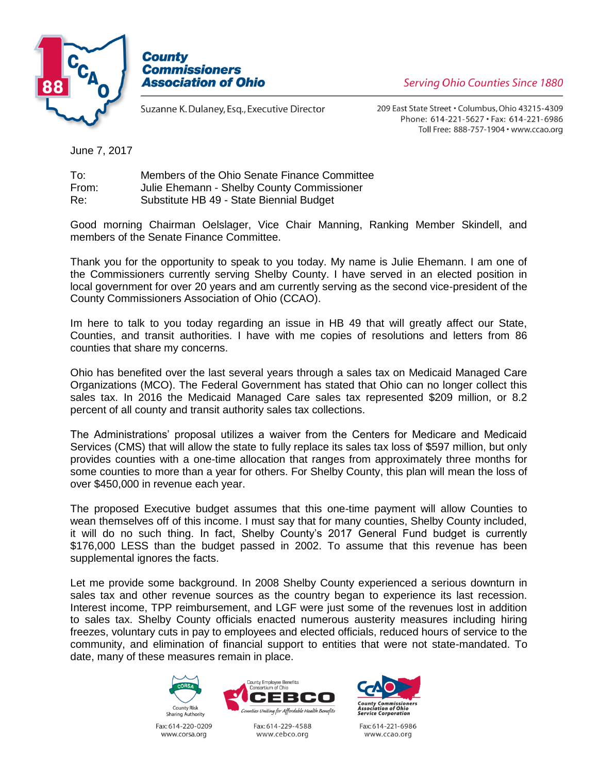



Suzanne K. Dulaney, Esq., Executive Director

209 East State Street . Columbus, Ohio 43215-4309 Phone: 614-221-5627 · Fax: 614-221-6986 Toll Free: 888-757-1904 · www.ccao.org

June 7, 2017

| To:   | Members of the Ohio Senate Finance Committee |
|-------|----------------------------------------------|
| From: | Julie Ehemann - Shelby County Commissioner   |
| Re:   | Substitute HB 49 - State Biennial Budget     |

Good morning Chairman Oelslager, Vice Chair Manning, Ranking Member Skindell, and members of the Senate Finance Committee.

Thank you for the opportunity to speak to you today. My name is Julie Ehemann. I am one of the Commissioners currently serving Shelby County. I have served in an elected position in local government for over 20 years and am currently serving as the second vice-president of the County Commissioners Association of Ohio (CCAO).

Im here to talk to you today regarding an issue in HB 49 that will greatly affect our State, Counties, and transit authorities. I have with me copies of resolutions and letters from 86 counties that share my concerns.

Ohio has benefited over the last several years through a sales tax on Medicaid Managed Care Organizations (MCO). The Federal Government has stated that Ohio can no longer collect this sales tax. In 2016 the Medicaid Managed Care sales tax represented \$209 million, or 8.2 percent of all county and transit authority sales tax collections.

The Administrations' proposal utilizes a waiver from the Centers for Medicare and Medicaid Services (CMS) that will allow the state to fully replace its sales tax loss of \$597 million, but only provides counties with a one-time allocation that ranges from approximately three months for some counties to more than a year for others. For Shelby County, this plan will mean the loss of over \$450,000 in revenue each year.

The proposed Executive budget assumes that this one-time payment will allow Counties to wean themselves off of this income. I must say that for many counties, Shelby County included, it will do no such thing. In fact, Shelby County's 2017 General Fund budget is currently \$176,000 LESS than the budget passed in 2002. To assume that this revenue has been supplemental ignores the facts.

Let me provide some background. In 2008 Shelby County experienced a serious downturn in sales tax and other revenue sources as the country began to experience its last recession. Interest income, TPP reimbursement, and LGF were just some of the revenues lost in addition to sales tax. Shelby County officials enacted numerous austerity measures including hiring freezes, voluntary cuts in pay to employees and elected officials, reduced hours of service to the community, and elimination of financial support to entities that were not state-mandated. To date, many of these measures remain in place.



Fax: 614-220-0209 www.corsa.org



Fax: 614-229-4588 www.cebco.org



Fax: 614-221-6986 www.ccao.org